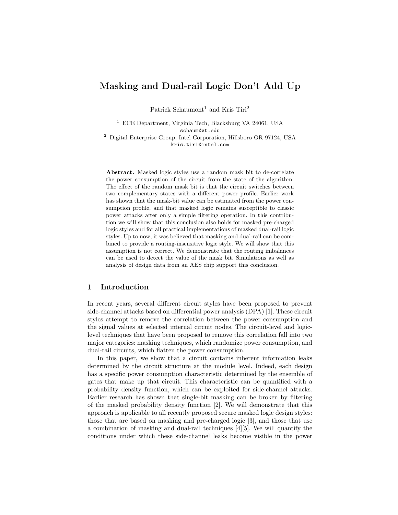# Masking and Dual-rail Logic Don't Add Up

Patrick Schaumont<sup>1</sup> and Kris Tiri<sup>2</sup>

<sup>1</sup> ECE Department, Virginia Tech, Blacksburg VA 24061, USA schaum@vt.edu <sup>2</sup> Digital Enterprise Group, Intel Corporation, Hillsboro OR 97124, USA kris.tiri@intel.com

Abstract. Masked logic styles use a random mask bit to de-correlate the power consumption of the circuit from the state of the algorithm. The effect of the random mask bit is that the circuit switches between two complementary states with a different power profile. Earlier work has shown that the mask-bit value can be estimated from the power consumption profile, and that masked logic remains susceptible to classic power attacks after only a simple filtering operation. In this contribution we will show that this conclusion also holds for masked pre-charged logic styles and for all practical implementations of masked dual-rail logic styles. Up to now, it was believed that masking and dual-rail can be combined to provide a routing-insensitive logic style. We will show that this assumption is not correct. We demonstrate that the routing imbalances can be used to detect the value of the mask bit. Simulations as well as analysis of design data from an AES chip support this conclusion.

#### 1 Introduction

In recent years, several different circuit styles have been proposed to prevent side-channel attacks based on differential power analysis (DPA) [1]. These circuit styles attempt to remove the correlation between the power consumption and the signal values at selected internal circuit nodes. The circuit-level and logiclevel techniques that have been proposed to remove this correlation fall into two major categories: masking techniques, which randomize power consumption, and dual-rail circuits, which flatten the power consumption.

In this paper, we show that a circuit contains inherent information leaks determined by the circuit structure at the module level. Indeed, each design has a specific power consumption characteristic determined by the ensemble of gates that make up that circuit. This characteristic can be quantified with a probability density function, which can be exploited for side-channel attacks. Earlier research has shown that single-bit masking can be broken by filtering of the masked probability density function [2]. We will demonstrate that this approach is applicable to all recently proposed secure masked logic design styles: those that are based on masking and pre-charged logic [3], and those that use a combination of masking and dual-rail techniques [4][5]. We will quantify the conditions under which these side-channel leaks become visible in the power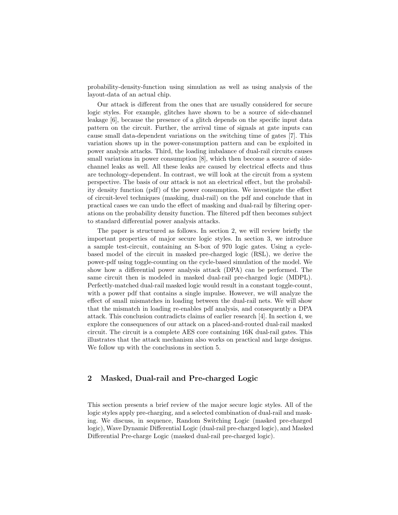probability-density-function using simulation as well as using analysis of the layout-data of an actual chip.

Our attack is different from the ones that are usually considered for secure logic styles. For example, glitches have shown to be a source of side-channel leakage [6], because the presence of a glitch depends on the specific input data pattern on the circuit. Further, the arrival time of signals at gate inputs can cause small data-dependent variations on the switching time of gates [7]. This variation shows up in the power-consumption pattern and can be exploited in power analysis attacks. Third, the loading imbalance of dual-rail circuits causes small variations in power consumption  $[8]$ , which then become a source of sidechannel leaks as well. All these leaks are caused by electrical effects and thus are technology-dependent. In contrast, we will look at the circuit from a system perspective. The basis of our attack is not an electrical effect, but the probability density function (pdf) of the power consumption. We investigate the effect of circuit-level techniques (masking, dual-rail) on the pdf and conclude that in practical cases we can undo the effect of masking and dual-rail by filtering operations on the probability density function. The filtered pdf then becomes subject to standard differential power analysis attacks.

The paper is structured as follows. In section 2, we will review briefly the important properties of major secure logic styles. In section 3, we introduce a sample test-circuit, containing an S-box of 970 logic gates. Using a cyclebased model of the circuit in masked pre-charged logic (RSL), we derive the power-pdf using toggle-counting on the cycle-based simulation of the model. We show how a differential power analysis attack (DPA) can be performed. The same circuit then is modeled in masked dual-rail pre-charged logic (MDPL). Perfectly-matched dual-rail masked logic would result in a constant toggle-count, with a power pdf that contains a single impulse. However, we will analyze the effect of small mismatches in loading between the dual-rail nets. We will show that the mismatch in loading re-enables pdf analysis, and consequently a DPA attack. This conclusion contradicts claims of earlier research [4]. In section 4, we explore the consequences of our attack on a placed-and-routed dual-rail masked circuit. The circuit is a complete AES core containing 16K dual-rail gates. This illustrates that the attack mechanism also works on practical and large designs. We follow up with the conclusions in section 5.

### 2 Masked, Dual-rail and Pre-charged Logic

This section presents a brief review of the major secure logic styles. All of the logic styles apply pre-charging, and a selected combination of dual-rail and masking. We discuss, in sequence, Random Switching Logic (masked pre-charged logic), Wave Dynamic Differential Logic (dual-rail pre-charged logic), and Masked Differential Pre-charge Logic (masked dual-rail pre-charged logic).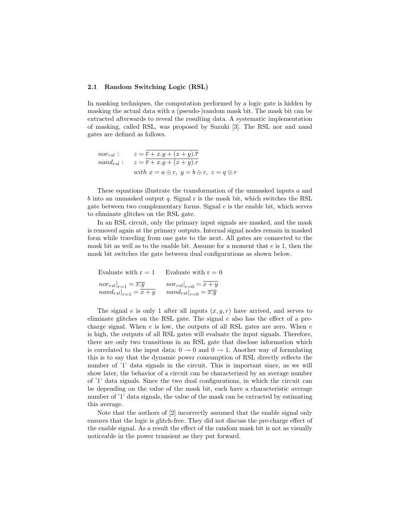#### 2.1 Random Switching Logic (RSL)

In masking techniques, the computation performed by a logic gate is hidden by masking the actual data with a (pseudo-)random mask bit. The mask bit can be extracted afterwards to reveal the resulting data. A systematic implementation of masking, called RSL, was proposed by Suzuki [3]. The RSL nor and nand gates are defined as follows.

$$
nor_{rsl}: \t z = \overline{\overline{e} + x.y + (x + y). \overline{r}}
$$
  
\n
$$
n and_{rsl}: \t z = \overline{\overline{e} + x.y + (x + y). \overline{r}}
$$
  
\n
$$
with x = a \oplus r, y = b \oplus r, z = q \oplus r
$$

These equations illustrate the transformation of the unmasked inputs a and b into an unmasked output q. Signal r is the mask bit, which switches the RSL gate between two complementary forms. Signal  $e$  is the enable bit, which serves to eliminate glitches on the RSL gate.

In an RSL circuit, only the primary input signals are masked, and the mask is removed again at the primary outputs. Internal signal nodes remain in masked form while traveling from one gate to the next. All gates are connected to the mask bit as well as to the enable bit. Assume for a moment that  $e$  is 1, then the mask bit switches the gate between dual configurations as shown below.

| Evaluate with $r = 1$                | Evaluate with $r = 0$                            |
|--------------------------------------|--------------------------------------------------|
| $nor_{rsl} _{r=1} = \overline{x.y}$  | $\left. nor_{rsl}\right _{r=0} = \overline{x+y}$ |
| $nand_{rsl} _{r=1} = \overline{x+y}$ | $nand_{rsl} _{r=0} = \overline{x.y}$             |

The signal e is only 1 after all inputs  $(x, y, r)$  have arrived, and serves to eliminate glitches on the RSL gate. The signal  $e$  also has the effect of a precharge signal. When  $e$  is low, the outputs of all RSL gates are zero. When  $e$ is high, the outputs of all RSL gates will evaluate the input signals. Therefore, there are only two transitions in an RSL gate that disclose information which is correlated to the input data:  $0 \rightarrow 0$  and  $0 \rightarrow 1$ . Another way of formulating this is to say that the dynamic power consumption of RSL directly reflects the number of '1' data signals in the circuit. This is important since, as we will show later, the behavior of a circuit can be characterized by an average number of '1' data signals. Since the two dual configurations, in which the circuit can be depending on the value of the mask bit, each have a characteristic average number of '1' data signals, the value of the mask can be extracted by estimating this average.

Note that the authors of [2] incorrectly assumed that the enable signal only ensures that the logic is glitch-free. They did not discuss the pre-charge effect of the enable signal. As a result the effect of the random mask bit is not as visually noticeable in the power transient as they put forward.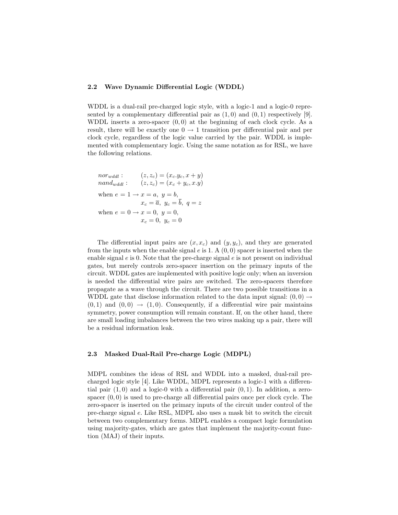#### 2.2 Wave Dynamic Differential Logic (WDDL)

WDDL is a dual-rail pre-charged logic style, with a logic-1 and a logic-0 represented by a complementary differential pair as  $(1,0)$  and  $(0,1)$  respectively [9]. WDDL inserts a zero-spacer  $(0,0)$  at the beginning of each clock cycle. As a result, there will be exactly one  $0 \rightarrow 1$  transition per differential pair and per clock cycle, regardless of the logic value carried by the pair. WDDL is implemented with complementary logic. Using the same notation as for RSL, we have the following relations.

$$
nor_{wddl}: (z, z_c) = (x_c.y_c, x + y)
$$
  
\n
$$
nand_{wddl}: (z, z_c) = (x_c + y_c, x \cdot y)
$$
  
\nwhen  $e = 1 \rightarrow x = a, y = b,$   
\n
$$
x_c = \overline{a}, y_c = \overline{b}, q = z
$$
  
\nwhen  $e = 0 \rightarrow x = 0, y = 0,$   
\n
$$
x_c = 0, y_c = 0
$$

The differential input pairs are  $(x, x_c)$  and  $(y, y_c)$ , and they are generated from the inputs when the enable signal  $e$  is 1. A  $(0,0)$  spacer is inserted when the enable signal  $e$  is 0. Note that the pre-charge signal  $e$  is not present on individual gates, but merely controls zero-spacer insertion on the primary inputs of the circuit. WDDL gates are implemented with positive logic only; when an inversion is needed the differential wire pairs are switched. The zero-spacers therefore propagate as a wave through the circuit. There are two possible transitions in a WDDL gate that disclose information related to the data input signal:  $(0, 0) \rightarrow$  $(0, 1)$  and  $(0, 0) \rightarrow (1, 0)$ . Consequently, if a differential wire pair maintains symmetry, power consumption will remain constant. If, on the other hand, there are small loading imbalances between the two wires making up a pair, there will be a residual information leak.

#### 2.3 Masked Dual-Rail Pre-charge Logic (MDPL)

MDPL combines the ideas of RSL and WDDL into a masked, dual-rail precharged logic style [4]. Like WDDL, MDPL represents a logic-1 with a differential pair  $(1, 0)$  and a logic-0 with a differential pair  $(0, 1)$ . In addition, a zerospacer  $(0, 0)$  is used to pre-charge all differential pairs once per clock cycle. The zero-spacer is inserted on the primary inputs of the circuit under control of the pre-charge signal e. Like RSL, MDPL also uses a mask bit to switch the circuit between two complementary forms. MDPL enables a compact logic formulation using majority-gates, which are gates that implement the majority-count function (MAJ) of their inputs.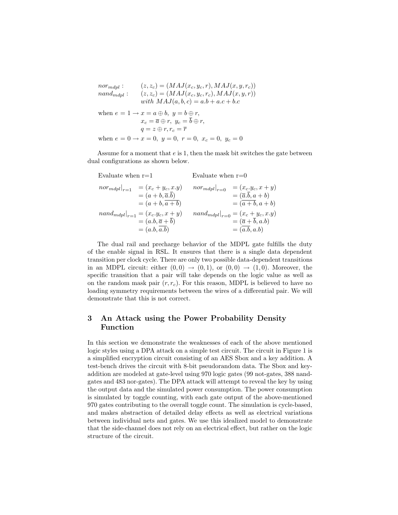$$
nor_{mdpl}: \t(z, z_c) = (MAJ(x_c, y_c, r), MAJ(x, y, r_c))
$$
  
\n
$$
nand_{mdpl}: \t(z, z_c) = (MAJ(x_c, y_c, r_c), MAJ(x, y, r))
$$
  
\n
$$
with MAJ(a, b, c) = a.b + a.c + b.c
$$
  
\n
$$
when e = 1 \rightarrow x = a \oplus b, y = b \oplus r,
$$
  
\n
$$
x_c = \overline{a} \oplus r, y_c = \overline{b} \oplus r,
$$
  
\n
$$
q = z \oplus r, r_c = \overline{r}
$$
  
\n
$$
when e = 0 \rightarrow x = 0, y = 0, r = 0, x_c = 0, y_c = 0
$$

Assume for a moment that  $e$  is 1, then the mask bit switches the gate between dual configurations as shown below.

Evaluate when  $r=1$  Evaluate when  $r=0$  $\left. nor_{mdpl}\right|_{r=1} = (x_c + y_c, \underline{x} \cdot y) \quad \left. nor_{mdpl}\right|_{r=0} = (x_c \cdot y_c, x+y)$  $=(a+b,\overline{a}.\overline{b})$   $=(\overline{a}.\overline{b},\overline{a}+\overline{b})$  $=(a + b, a + b)$   $=(a + b, a + b)$  $nand_{mdpl}|_{r=1} = (x_c, y_c, x + y)$   $nand_{mdpl}|_{r=0} = (x_c + y_c, x \cdot y)$  $=(a.b, \overline{a} + b)$   $= (\overline{a} + b, a.b)$  $=(a.b, \overline{a.b})$   $= (\overline{a.b}, a.b)$ 

The dual rail and precharge behavior of the MDPL gate fulfills the duty of the enable signal in RSL. It ensures that there is a single data dependent transition per clock cycle. There are only two possible data-dependent transitions in an MDPL circuit: either  $(0,0) \rightarrow (0,1)$ , or  $(0,0) \rightarrow (1,0)$ . Moreover, the specific transition that a pair will take depends on the logic value as well as on the random mask pair  $(r, r_c)$ . For this reason, MDPL is believed to have no loading symmetry requirements between the wires of a differential pair. We will demonstrate that this is not correct.

## 3 An Attack using the Power Probability Density Function

In this section we demonstrate the weaknesses of each of the above mentioned logic styles using a DPA attack on a simple test circuit. The circuit in Figure 1 is a simplified encryption circuit consisting of an AES Sbox and a key addition. A test-bench drives the circuit with 8-bit pseudorandom data. The Sbox and keyaddition are modeled at gate-level using 970 logic gates (99 not-gates, 388 nandgates and 483 nor-gates). The DPA attack will attempt to reveal the key by using the output data and the simulated power consumption. The power consumption is simulated by toggle counting, with each gate output of the above-mentioned 970 gates contributing to the overall toggle count. The simulation is cycle-based, and makes abstraction of detailed delay effects as well as electrical variations between individual nets and gates. We use this idealized model to demonstrate that the side-channel does not rely on an electrical effect, but rather on the logic structure of the circuit.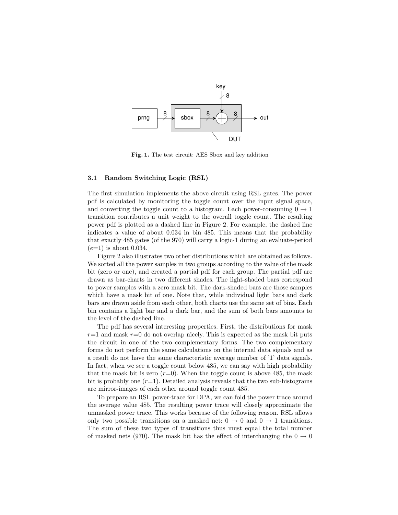

Fig. 1. The test circuit: AES Sbox and key addition

#### 3.1 Random Switching Logic (RSL)

The first simulation implements the above circuit using RSL gates. The power pdf is calculated by monitoring the toggle count over the input signal space, and converting the toggle count to a histogram. Each power-consuming  $0 \rightarrow 1$ transition contributes a unit weight to the overall toggle count. The resulting power pdf is plotted as a dashed line in Figure 2. For example, the dashed line indicates a value of about 0.034 in bin 485. This means that the probability that exactly 485 gates (of the 970) will carry a logic-1 during an evaluate-period  $(e=1)$  is about 0.034.

Figure 2 also illustrates two other distributions which are obtained as follows. We sorted all the power samples in two groups according to the value of the mask bit (zero or one), and created a partial pdf for each group. The partial pdf are drawn as bar-charts in two different shades. The light-shaded bars correspond to power samples with a zero mask bit. The dark-shaded bars are those samples which have a mask bit of one. Note that, while individual light bars and dark bars are drawn aside from each other, both charts use the same set of bins. Each bin contains a light bar and a dark bar, and the sum of both bars amounts to the level of the dashed line.

The pdf has several interesting properties. First, the distributions for mask  $r=1$  and mask  $r=0$  do not overlap nicely. This is expected as the mask bit puts the circuit in one of the two complementary forms. The two complementary forms do not perform the same calculations on the internal data signals and as a result do not have the same characteristic average number of '1' data signals. In fact, when we see a toggle count below 485, we can say with high probability that the mask bit is zero  $(r=0)$ . When the toggle count is above 485, the mask bit is probably one  $(r=1)$ . Detailed analysis reveals that the two sub-histograms are mirror-images of each other around toggle count 485.

To prepare an RSL power-trace for DPA, we can fold the power trace around the average value 485. The resulting power trace will closely approximate the unmasked power trace. This works because of the following reason. RSL allows only two possible transitions on a masked net:  $0 \rightarrow 0$  and  $0 \rightarrow 1$  transitions. The sum of these two types of transitions thus must equal the total number of masked nets (970). The mask bit has the effect of interchanging the  $0 \rightarrow 0$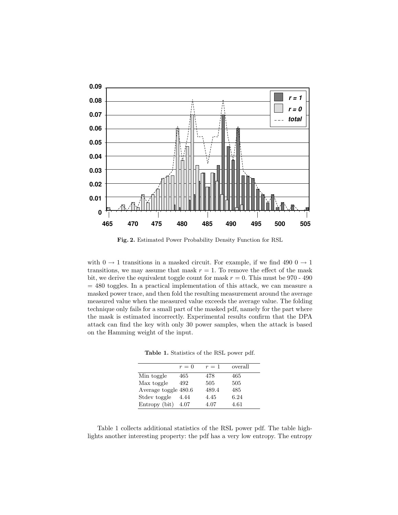

Fig. 2. Estimated Power Probability Density Function for RSL

with  $0 \rightarrow 1$  transitions in a masked circuit. For example, if we find 490  $0 \rightarrow 1$ transitions, we may assume that mask  $r = 1$ . To remove the effect of the mask bit, we derive the equivalent toggle count for mask  $r = 0$ . This must be  $970 - 490$  $= 480$  toggles. In a practical implementation of this attack, we can measure a masked power trace, and then fold the resulting measurement around the average measured value when the measured value exceeds the average value. The folding technique only fails for a small part of the masked pdf, namely for the part where the mask is estimated incorrectly. Experimental results confirm that the DPA attack can find the key with only 30 power samples, when the attack is based on the Hamming weight of the input.

Table 1. Statistics of the RSL power pdf.

|                      | $r=0$ | $r=1$ | overall |
|----------------------|-------|-------|---------|
| Min toggle           | 465   | 478   | 465     |
| Max toggle           | 492   | 505   | 505     |
| Average toggle 480.6 |       | 489.4 | 485     |
| Stdev toggle         | 4.44  | 4.45  | 6.24    |
| Entropy (bit)        | 4.07  | 4.07  | 4.61    |

Table 1 collects additional statistics of the RSL power pdf. The table highlights another interesting property: the pdf has a very low entropy. The entropy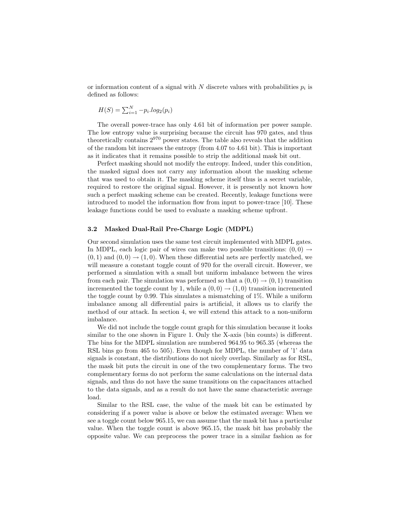or information content of a signal with  $N$  discrete values with probabilities  $p_i$  is defined as follows:

$$
H(S) = \sum_{i=1}^{N} -p_i log_2(p_i)
$$

The overall power-trace has only 4.61 bit of information per power sample. The low entropy value is surprising because the circuit has 970 gates, and thus theoretically contains  $2^{970}$  power states. The table also reveals that the addition of the random bit increases the entropy (from 4.07 to 4.61 bit). This is important as it indicates that it remains possible to strip the additional mask bit out.

Perfect masking should not modify the entropy. Indeed, under this condition, the masked signal does not carry any information about the masking scheme that was used to obtain it. The masking scheme itself thus is a secret variable, required to restore the original signal. However, it is presently not known how such a perfect masking scheme can be created. Recently, leakage functions were introduced to model the information flow from input to power-trace [10]. These leakage functions could be used to evaluate a masking scheme upfront.

#### 3.2 Masked Dual-Rail Pre-Charge Logic (MDPL)

Our second simulation uses the same test circuit implemented with MDPL gates. In MDPL, each logic pair of wires can make two possible transitions:  $(0,0) \rightarrow$  $(0, 1)$  and  $(0, 0) \rightarrow (1, 0)$ . When these differential nets are perfectly matched, we will measure a constant toggle count of 970 for the overall circuit. However, we performed a simulation with a small but uniform imbalance between the wires from each pair. The simulation was performed so that a  $(0,0) \rightarrow (0,1)$  transition incremented the toggle count by 1, while a  $(0,0) \rightarrow (1,0)$  transition incremented the toggle count by 0.99. This simulates a mismatching of 1%. While a uniform imbalance among all differential pairs is artificial, it allows us to clarify the method of our attack. In section 4, we will extend this attack to a non-uniform imbalance.

We did not include the toggle count graph for this simulation because it looks similar to the one shown in Figure 1. Only the X-axis (bin counts) is different. The bins for the MDPL simulation are numbered 964.95 to 965.35 (whereas the RSL bins go from 465 to 505). Even though for MDPL, the number of '1' data signals is constant, the distributions do not nicely overlap. Similarly as for RSL, the mask bit puts the circuit in one of the two complementary forms. The two complementary forms do not perform the same calculations on the internal data signals, and thus do not have the same transitions on the capacitances attached to the data signals, and as a result do not have the same characteristic average load.

Similar to the RSL case, the value of the mask bit can be estimated by considering if a power value is above or below the estimated average: When we see a toggle count below 965.15, we can assume that the mask bit has a particular value. When the toggle count is above 965.15, the mask bit has probably the opposite value. We can preprocess the power trace in a similar fashion as for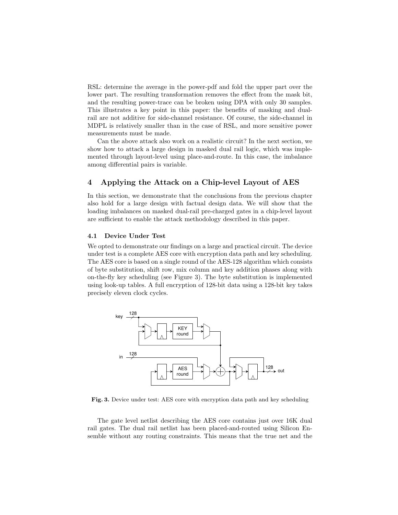RSL: determine the average in the power-pdf and fold the upper part over the lower part. The resulting transformation removes the effect from the mask bit, and the resulting power-trace can be broken using DPA with only 30 samples. This illustrates a key point in this paper: the benefits of masking and dualrail are not additive for side-channel resistance. Of course, the side-channel in MDPL is relatively smaller than in the case of RSL, and more sensitive power measurements must be made.

Can the above attack also work on a realistic circuit? In the next section, we show how to attack a large design in masked dual rail logic, which was implemented through layout-level using place-and-route. In this case, the imbalance among differential pairs is variable.

## 4 Applying the Attack on a Chip-level Layout of AES

In this section, we demonstrate that the conclusions from the previous chapter also hold for a large design with factual design data. We will show that the loading imbalances on masked dual-rail pre-charged gates in a chip-level layout are sufficient to enable the attack methodology described in this paper.

#### 4.1 Device Under Test

We opted to demonstrate our findings on a large and practical circuit. The device under test is a complete AES core with encryption data path and key scheduling. The AES core is based on a single round of the AES-128 algorithm which consists of byte substitution, shift row, mix column and key addition phases along with on-the-fly key scheduling (see Figure 3). The byte substitution is implemented using look-up tables. A full encryption of 128-bit data using a 128-bit key takes precisely eleven clock cycles.



Fig. 3. Device under test: AES core with encryption data path and key scheduling

The gate level netlist describing the AES core contains just over 16K dual rail gates. The dual rail netlist has been placed-and-routed using Silicon Ensemble without any routing constraints. This means that the true net and the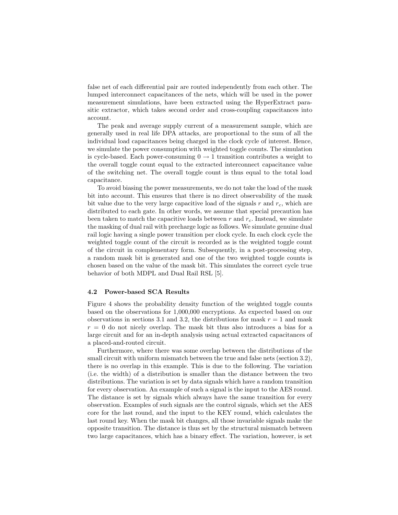false net of each differential pair are routed independently from each other. The lumped interconnect capacitances of the nets, which will be used in the power measurement simulations, have been extracted using the HyperExtract parasitic extractor, which takes second order and cross-coupling capacitances into account.

The peak and average supply current of a measurement sample, which are generally used in real life DPA attacks, are proportional to the sum of all the individual load capacitances being charged in the clock cycle of interest. Hence, we simulate the power consumption with weighted toggle counts. The simulation is cycle-based. Each power-consuming  $0 \rightarrow 1$  transition contributes a weight to the overall toggle count equal to the extracted interconnect capacitance value of the switching net. The overall toggle count is thus equal to the total load capacitance.

To avoid biasing the power measurements, we do not take the load of the mask bit into account. This ensures that there is no direct observability of the mask bit value due to the very large capacitive load of the signals  $r$  and  $r_c$ , which are distributed to each gate. In other words, we assume that special precaution has been taken to match the capacitive loads between r and  $r_c$ . Instead, we simulate the masking of dual rail with precharge logic as follows. We simulate genuine dual rail logic having a single power transition per clock cycle. In each clock cycle the weighted toggle count of the circuit is recorded as is the weighted toggle count of the circuit in complementary form. Subsequently, in a post-processing step, a random mask bit is generated and one of the two weighted toggle counts is chosen based on the value of the mask bit. This simulates the correct cycle true behavior of both MDPL and Dual Rail RSL [5].

#### 4.2 Power-based SCA Results

Figure 4 shows the probability density function of the weighted toggle counts based on the observations for 1,000,000 encryptions. As expected based on our observations in sections 3.1 and 3.2, the distributions for mask  $r = 1$  and mask  $r = 0$  do not nicely overlap. The mask bit thus also introduces a bias for a large circuit and for an in-depth analysis using actual extracted capacitances of a placed-and-routed circuit.

Furthermore, where there was some overlap between the distributions of the small circuit with uniform mismatch between the true and false nets (section 3.2), there is no overlap in this example. This is due to the following. The variation (i.e. the width) of a distribution is smaller than the distance between the two distributions. The variation is set by data signals which have a random transition for every observation. An example of such a signal is the input to the AES round. The distance is set by signals which always have the same transition for every observation. Examples of such signals are the control signals, which set the AES core for the last round, and the input to the KEY round, which calculates the last round key. When the mask bit changes, all those invariable signals make the opposite transition. The distance is thus set by the structural mismatch between two large capacitances, which has a binary effect. The variation, however, is set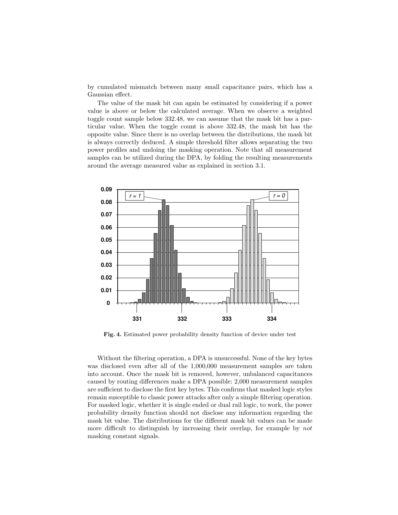by cumulated mismatch between many small capacitance pairs, which has a Gaussian effect.

The value of the mask bit can again be estimated by considering if a power value is above or below the calculated average. When we observe a weighted toggle count sample below 332.48, we can assume that the mask bit has a particular value. When the toggle count is above 332.48, the mask bit has the opposite value. Since there is no overlap between the distributions, the mask bit is always correctly deduced. A simple threshold filter allows separating the two power profiles and undoing the masking operation. Note that all measurement samples can be utilized during the DPA, by folding the resulting measurements around the average measured value as explained in section 3.1.



Fig. 4. Estimated power probability density function of device under test

Without the filtering operation, a DPA is unsuccessful. None of the key bytes was disclosed even after all of the 1,000,000 measurement samples are taken into account. Once the mask bit is removed, however, unbalanced capacitances caused by routing differences make a DPA possible: 2,000 measurement samples are sufficient to disclose the first key bytes. This confirms that masked logic styles remain susceptible to classic power attacks after only a simple filtering operation. For masked logic, whether it is single ended or dual rail logic, to work, the power probability density function should not disclose any information regarding the mask bit value. The distributions for the different mask bit values can be made more difficult to distinguish by increasing their overlap, for example by *not* masking constant signals.